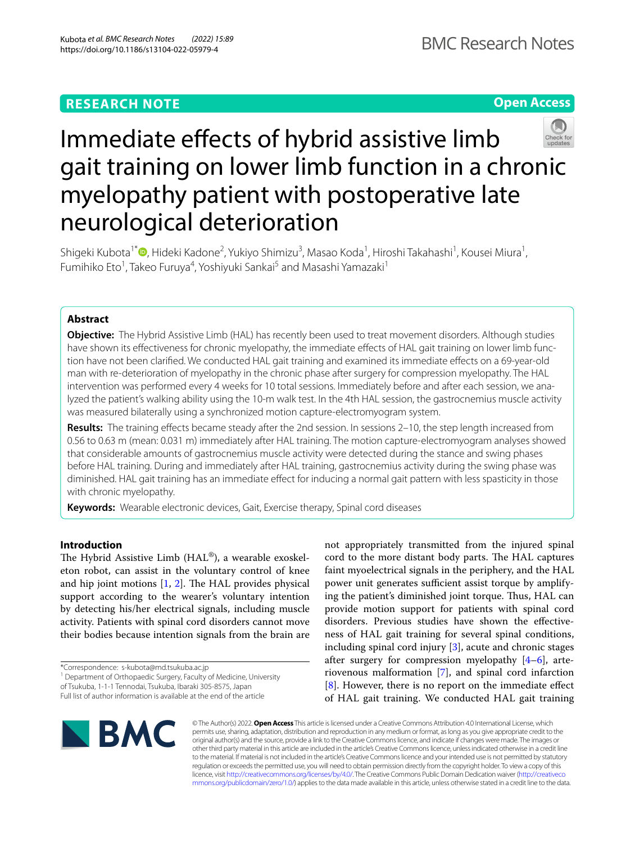## **RESEARCH NOTE**

**Open Access**

# Immediate effects of hybrid assistive limb gait training on lower limb function in a chronic myelopathy patient with postoperative late neurological deterioration

Shigeki Kubota<sup>1\*</sup> (**D**[,](http://orcid.org/0000-0003-4455-4585) Hideki Kadone<sup>2</sup>, Yukiyo Shimizu<sup>3</sup>, Masao Koda<sup>1</sup>, Hiroshi Takahashi<sup>1</sup>, Kousei Miura<sup>1</sup>, Fumihiko Eto<sup>1</sup>, Takeo Furuya<sup>4</sup>, Yoshiyuki Sankai<sup>5</sup> and Masashi Yamazaki<sup>1</sup>

## **Abstract**

**Objective:** The Hybrid Assistive Limb (HAL) has recently been used to treat movement disorders. Although studies have shown its effectiveness for chronic myelopathy, the immediate effects of HAL gait training on lower limb function have not been clarifed. We conducted HAL gait training and examined its immediate efects on a 69-year-old man with re-deterioration of myelopathy in the chronic phase after surgery for compression myelopathy. The HAL intervention was performed every 4 weeks for 10 total sessions. Immediately before and after each session, we analyzed the patient's walking ability using the 10-m walk test. In the 4th HAL session, the gastrocnemius muscle activity was measured bilaterally using a synchronized motion capture-electromyogram system.

**Results:** The training efects became steady after the 2nd session. In sessions 2–10, the step length increased from 0.56 to 0.63 m (mean: 0.031 m) immediately after HAL training. The motion capture-electromyogram analyses showed that considerable amounts of gastrocnemius muscle activity were detected during the stance and swing phases before HAL training. During and immediately after HAL training, gastrocnemius activity during the swing phase was diminished. HAL gait training has an immediate effect for inducing a normal gait pattern with less spasticity in those with chronic myelopathy.

**Keywords:** Wearable electronic devices, Gait, Exercise therapy, Spinal cord diseases

## **Introduction**

The Hybrid Assistive Limb ( $HAL^{\circledR}$ ), a wearable exoskeleton robot, can assist in the voluntary control of knee and hip joint motions  $[1, 2]$  $[1, 2]$  $[1, 2]$  $[1, 2]$ . The HAL provides physical support according to the wearer's voluntary intention by detecting his/her electrical signals, including muscle activity. Patients with spinal cord disorders cannot move their bodies because intention signals from the brain are

\*Correspondence: s-kubota@md.tsukuba.ac.jp

<sup>1</sup> Department of Orthopaedic Surgery, Faculty of Medicine, University of Tsukuba, 1-1-1 Tennodai, Tsukuba, Ibaraki 305-8575, Japan

not appropriately transmitted from the injured spinal cord to the more distant body parts. The HAL captures faint myoelectrical signals in the periphery, and the HAL power unit generates sufficient assist torque by amplifying the patient's diminished joint torque. Thus, HAL can provide motion support for patients with spinal cord disorders. Previous studies have shown the efectiveness of HAL gait training for several spinal conditions, including spinal cord injury [\[3](#page-5-2)], acute and chronic stages after surgery for compression myelopathy  $[4-6]$  $[4-6]$ , arteriovenous malformation [\[7\]](#page-5-5), and spinal cord infarction [[8\]](#page-5-6). However, there is no report on the immediate effect of HAL gait training. We conducted HAL gait training



© The Author(s) 2022. **Open Access** This article is licensed under a Creative Commons Attribution 4.0 International License, which permits use, sharing, adaptation, distribution and reproduction in any medium or format, as long as you give appropriate credit to the original author(s) and the source, provide a link to the Creative Commons licence, and indicate if changes were made. The images or other third party material in this article are included in the article's Creative Commons licence, unless indicated otherwise in a credit line to the material. If material is not included in the article's Creative Commons licence and your intended use is not permitted by statutory regulation or exceeds the permitted use, you will need to obtain permission directly from the copyright holder. To view a copy of this licence, visit [http://creativecommons.org/licenses/by/4.0/.](http://creativecommons.org/licenses/by/4.0/) The Creative Commons Public Domain Dedication waiver ([http://creativeco](http://creativecommons.org/publicdomain/zero/1.0/) [mmons.org/publicdomain/zero/1.0/](http://creativecommons.org/publicdomain/zero/1.0/)) applies to the data made available in this article, unless otherwise stated in a credit line to the data.

Full list of author information is available at the end of the article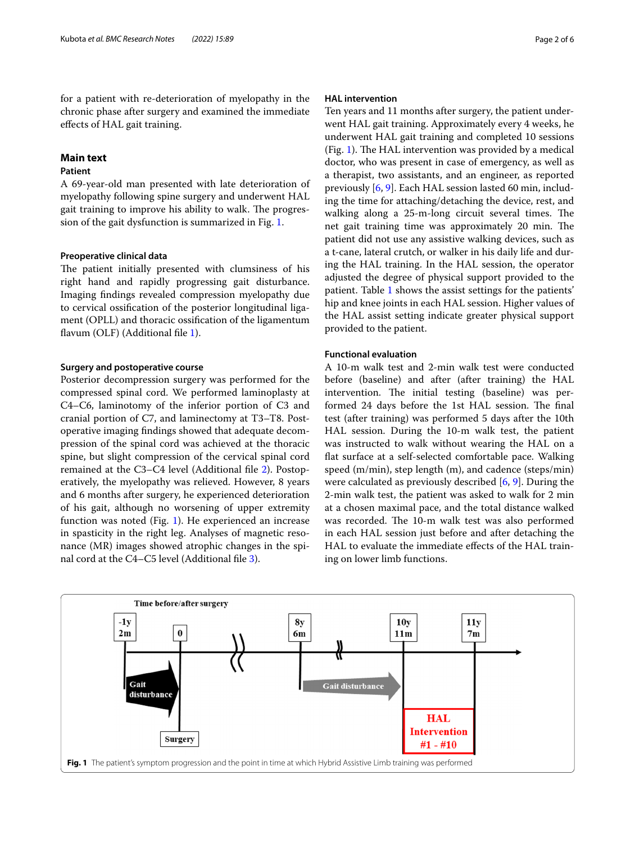for a patient with re-deterioration of myelopathy in the chronic phase after surgery and examined the immediate efects of HAL gait training.

#### **Main text**

#### **Patient**

A 69-year-old man presented with late deterioration of myelopathy following spine surgery and underwent HAL gait training to improve his ability to walk. The progression of the gait dysfunction is summarized in Fig. [1](#page-1-0).

#### **Preoperative clinical data**

The patient initially presented with clumsiness of his right hand and rapidly progressing gait disturbance. Imaging fndings revealed compression myelopathy due to cervical ossifcation of the posterior longitudinal ligament (OPLL) and thoracic ossifcation of the ligamentum flavum (OLF) (Additional file [1](#page-4-0)).

#### **Surgery and postoperative course**

Posterior decompression surgery was performed for the compressed spinal cord. We performed laminoplasty at C4–C6, laminotomy of the inferior portion of C3 and cranial portion of C7, and laminectomy at T3–T8. Postoperative imaging fndings showed that adequate decompression of the spinal cord was achieved at the thoracic spine, but slight compression of the cervical spinal cord remained at the C3–C4 level (Additional fle [2](#page-4-1)). Postoperatively, the myelopathy was relieved. However, 8 years and 6 months after surgery, he experienced deterioration of his gait, although no worsening of upper extremity function was noted (Fig. [1\)](#page-1-0). He experienced an increase in spasticity in the right leg. Analyses of magnetic resonance (MR) images showed atrophic changes in the spinal cord at the C4–C5 level (Additional fle [3\)](#page-4-2).

#### **HAL intervention**

Ten years and 11 months after surgery, the patient underwent HAL gait training. Approximately every 4 weeks, he underwent HAL gait training and completed 10 sessions (Fig. [1\)](#page-1-0). The HAL intervention was provided by a medical doctor, who was present in case of emergency, as well as a therapist, two assistants, and an engineer, as reported previously [\[6](#page-5-4), [9\]](#page-5-7). Each HAL session lasted 60 min, including the time for attaching/detaching the device, rest, and walking along a 25-m-long circuit several times. The net gait training time was approximately 20 min. The patient did not use any assistive walking devices, such as a t-cane, lateral crutch, or walker in his daily life and during the HAL training. In the HAL session, the operator adjusted the degree of physical support provided to the patient. Table [1](#page-2-0) shows the assist settings for the patients' hip and knee joints in each HAL session. Higher values of the HAL assist setting indicate greater physical support provided to the patient.

#### **Functional evaluation**

A 10-m walk test and 2-min walk test were conducted before (baseline) and after (after training) the HAL intervention. The initial testing (baseline) was performed 24 days before the 1st HAL session. The final test (after training) was performed 5 days after the 10th HAL session. During the 10-m walk test, the patient was instructed to walk without wearing the HAL on a fat surface at a self-selected comfortable pace. Walking speed (m/min), step length (m), and cadence (steps/min) were calculated as previously described [\[6](#page-5-4), [9\]](#page-5-7). During the 2-min walk test, the patient was asked to walk for 2 min at a chosen maximal pace, and the total distance walked was recorded. The 10-m walk test was also performed in each HAL session just before and after detaching the HAL to evaluate the immediate efects of the HAL training on lower limb functions.

<span id="page-1-0"></span>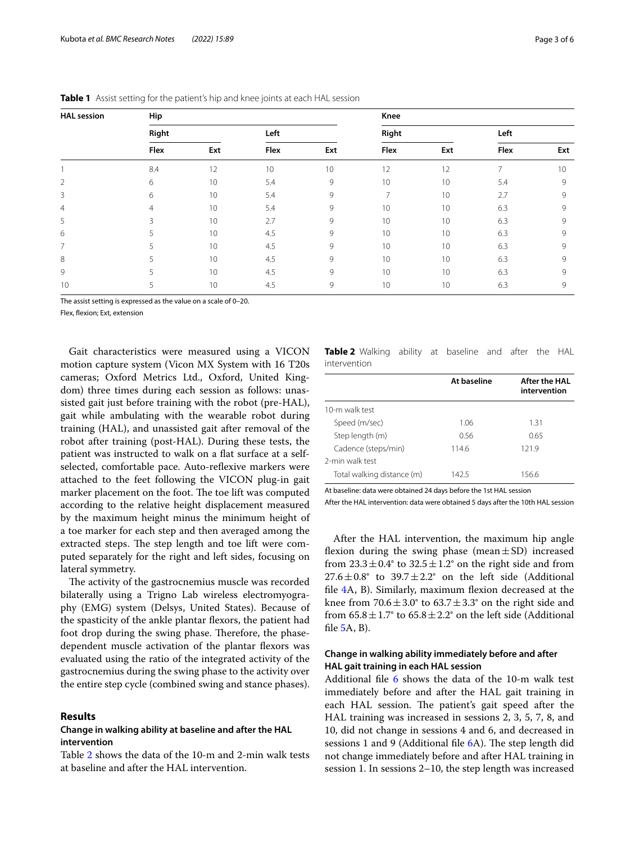| <b>HAL</b> session | Hip            |     |      |     | Knee            |     |      |     |
|--------------------|----------------|-----|------|-----|-----------------|-----|------|-----|
|                    | Right          |     | Left |     | Right           |     | Left |     |
|                    | Flex           | Ext | Flex | Ext | Flex            | Ext | Flex | Ext |
|                    | 8.4            | 12  | 10   | 10  | 12              | 12  | 7    | 10  |
| $\overline{2}$     | 6              | 10  | 5.4  | 9   | 10              | 10  | 5.4  | 9   |
| 3                  | 6              | 10  | 5.4  | 9   | 7               | 10  | 2.7  | 9   |
| $\overline{4}$     | $\overline{4}$ | 10  | 5.4  | 9   | 10              | 10  | 6.3  | 9   |
| 5                  | 3              | 10  | 2.7  | 9   | 10              | 10  | 6.3  | 9   |
| 6                  |                | 10  | 4.5  | 9   | 10              | 10  | 6.3  | 9   |
| $\overline{7}$     | 5              | 10  | 4.5  | 9   | 10              | 10  | 6.3  | 9   |
| 8                  | 5              | 10  | 4.5  | 9   | 10              | 10  | 6.3  | 9   |
| 9                  | 5              | 10  | 4.5  | 9   | 10              | 10  | 6.3  | 9   |
| 10                 | 5              | 10  | 4.5  | 9   | 10 <sup>°</sup> | 10  | 6.3  | 9   |

<span id="page-2-0"></span>**Table 1** Assist setting for the patient's hip and knee joints at each HAL session

The assist setting is expressed as the value on a scale of 0–20.

Flex, fexion; Ext, extension

Gait characteristics were measured using a VICON motion capture system (Vicon MX System with 16 T20s cameras; Oxford Metrics Ltd., Oxford, United Kingdom) three times during each session as follows: unassisted gait just before training with the robot (pre-HAL), gait while ambulating with the wearable robot during training (HAL), and unassisted gait after removal of the robot after training (post-HAL). During these tests, the patient was instructed to walk on a flat surface at a selfselected, comfortable pace. Auto-reflexive markers were attached to the feet following the VICON plug-in gait marker placement on the foot. The toe lift was computed according to the relative height displacement measured by the maximum height minus the minimum height of a toe marker for each step and then averaged among the extracted steps. The step length and toe lift were computed separately for the right and left sides, focusing on lateral symmetry.

The activity of the gastrocnemius muscle was recorded bilaterally using a Trigno Lab wireless electromyography (EMG) system (Delsys, United States). Because of the spasticity of the ankle plantar fexors, the patient had foot drop during the swing phase. Therefore, the phasedependent muscle activation of the plantar fexors was evaluated using the ratio of the integrated activity of the gastrocnemius during the swing phase to the activity over the entire step cycle (combined swing and stance phases).

#### **Results**

#### **Change in walking ability at baseline and after the HAL intervention**

Table [2](#page-2-1) shows the data of the 10-m and 2-min walk tests at baseline and after the HAL intervention.

<span id="page-2-1"></span>**Table 2** Walking ability at baseline and after the HAL intervention

|                            | At baseline | After the HAL<br>intervention |
|----------------------------|-------------|-------------------------------|
| 10-m walk test             |             |                               |
| Speed (m/sec)              | 1.06        | 1.31                          |
| Step length (m)            | 0.56        | 0.65                          |
| Cadence (steps/min)        | 114.6       | 121.9                         |
| 2-min walk test            |             |                               |
| Total walking distance (m) | 142.5       | 156.6                         |
|                            |             |                               |

At baseline: data were obtained 24 days before the 1st HAL session

After the HAL intervention: data were obtained 5 days after the 10th HAL session

After the HAL intervention, the maximum hip angle flexion during the swing phase (mean $\pm$ SD) increased from  $23.3 \pm 0.4^{\circ}$  to  $32.5 \pm 1.2^{\circ}$  on the right side and from  $27.6 \pm 0.8$ ° to  $39.7 \pm 2.2$ ° on the left side (Additional fle [4](#page-4-3)A, B). Similarly, maximum fexion decreased at the knee from  $70.6 \pm 3.0^{\circ}$  to  $63.7 \pm 3.3^{\circ}$  on the right side and from  $65.8 \pm 1.7^{\circ}$  to  $65.8 \pm 2.2^{\circ}$  on the left side (Additional fle [5](#page-4-4)A, B).

#### **Change in walking ability immediately before and after HAL gait training in each HAL session**

Additional file  $6$  shows the data of the 10-m walk test immediately before and after the HAL gait training in each HAL session. The patient's gait speed after the HAL training was increased in sessions 2, 3, 5, 7, 8, and 10, did not change in sessions 4 and 6, and decreased in sessions 1 and 9 (Additional file  $6A$ ). The step length did not change immediately before and after HAL training in session 1. In sessions 2–10, the step length was increased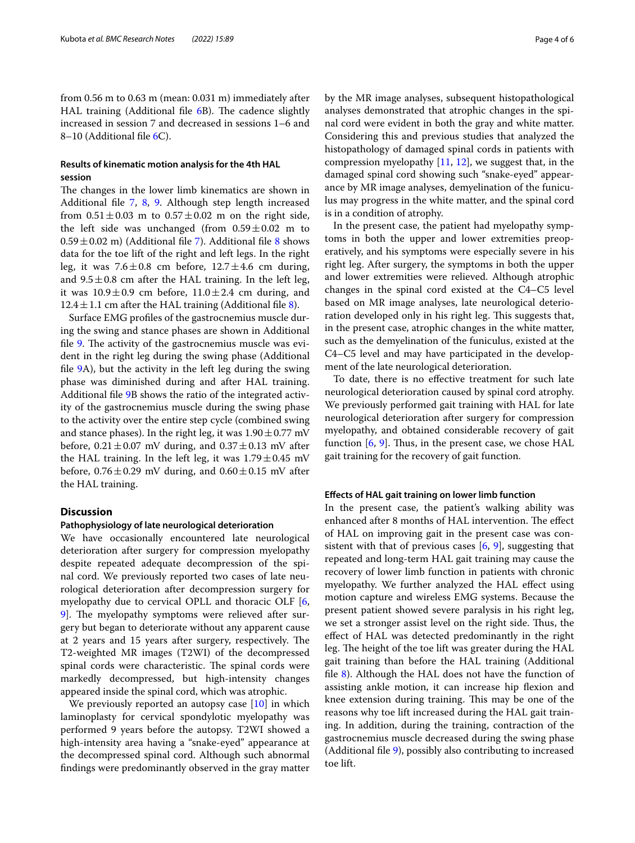from 0.56 m to 0.63 m (mean: 0.031 m) immediately after HAL training (Additional file  $6B$ ). The cadence slightly increased in session 7 and decreased in sessions 1–6 and 8–10 (Additional fle [6](#page-4-5)C).

#### **Results of kinematic motion analysis for the 4th HAL session**

The changes in the lower limb kinematics are shown in Additional file [7,](#page-4-6) [8](#page-4-7), [9.](#page-4-8) Although step length increased from  $0.51 \pm 0.03$  m to  $0.57 \pm 0.02$  m on the right side, the left side was unchanged (from  $0.59 \pm 0.02$  m to  $0.59 \pm 0.02$  m) (Additional file [7\)](#page-4-6). Additional file [8](#page-4-7) shows data for the toe lift of the right and left legs. In the right leg, it was  $7.6 \pm 0.8$  cm before,  $12.7 \pm 4.6$  cm during, and  $9.5 \pm 0.8$  cm after the HAL training. In the left leg, it was  $10.9 \pm 0.9$  cm before,  $11.0 \pm 2.4$  cm during, and 12.4 $\pm$ 1.1 cm after the HAL training (Additional file [8\)](#page-4-7).

Surface EMG profles of the gastrocnemius muscle during the swing and stance phases are shown in Additional file  $9$ . The activity of the gastrocnemius muscle was evident in the right leg during the swing phase (Additional fle [9](#page-4-8)A), but the activity in the left leg during the swing phase was diminished during and after HAL training. Additional fle [9B](#page-4-8) shows the ratio of the integrated activity of the gastrocnemius muscle during the swing phase to the activity over the entire step cycle (combined swing and stance phases). In the right leg, it was  $1.90 \pm 0.77$  mV before,  $0.21 \pm 0.07$  mV during, and  $0.37 \pm 0.13$  mV after the HAL training. In the left leg, it was  $1.79 \pm 0.45$  mV before,  $0.76 \pm 0.29$  mV during, and  $0.60 \pm 0.15$  mV after the HAL training.

#### **Discussion**

#### **Pathophysiology of late neurological deterioration**

We have occasionally encountered late neurological deterioration after surgery for compression myelopathy despite repeated adequate decompression of the spinal cord. We previously reported two cases of late neurological deterioration after decompression surgery for myelopathy due to cervical OPLL and thoracic OLF [\[6](#page-5-4), 9. The myelopathy symptoms were relieved after surgery but began to deteriorate without any apparent cause at 2 years and 15 years after surgery, respectively. The T2-weighted MR images (T2WI) of the decompressed spinal cords were characteristic. The spinal cords were markedly decompressed, but high-intensity changes appeared inside the spinal cord, which was atrophic.

We previously reported an autopsy case [\[10\]](#page-5-8) in which laminoplasty for cervical spondylotic myelopathy was performed 9 years before the autopsy. T2WI showed a high-intensity area having a "snake-eyed" appearance at the decompressed spinal cord. Although such abnormal fndings were predominantly observed in the gray matter by the MR image analyses, subsequent histopathological analyses demonstrated that atrophic changes in the spinal cord were evident in both the gray and white matter. Considering this and previous studies that analyzed the histopathology of damaged spinal cords in patients with compression myelopathy  $[11, 12]$  $[11, 12]$  $[11, 12]$  $[11, 12]$ , we suggest that, in the damaged spinal cord showing such "snake-eyed" appearance by MR image analyses, demyelination of the funiculus may progress in the white matter, and the spinal cord is in a condition of atrophy.

In the present case, the patient had myelopathy symptoms in both the upper and lower extremities preoperatively, and his symptoms were especially severe in his right leg. After surgery, the symptoms in both the upper and lower extremities were relieved. Although atrophic changes in the spinal cord existed at the C4–C5 level based on MR image analyses, late neurological deterioration developed only in his right leg. This suggests that, in the present case, atrophic changes in the white matter, such as the demyelination of the funiculus, existed at the C4–C5 level and may have participated in the development of the late neurological deterioration.

To date, there is no efective treatment for such late neurological deterioration caused by spinal cord atrophy. We previously performed gait training with HAL for late neurological deterioration after surgery for compression myelopathy, and obtained considerable recovery of gait function  $[6, 9]$  $[6, 9]$  $[6, 9]$  $[6, 9]$ . Thus, in the present case, we chose HAL gait training for the recovery of gait function.

#### **Efects of HAL gait training on lower limb function**

In the present case, the patient's walking ability was enhanced after 8 months of HAL intervention. The effect of HAL on improving gait in the present case was consistent with that of previous cases  $[6, 9]$  $[6, 9]$  $[6, 9]$ , suggesting that repeated and long-term HAL gait training may cause the recovery of lower limb function in patients with chronic myelopathy. We further analyzed the HAL effect using motion capture and wireless EMG systems. Because the present patient showed severe paralysis in his right leg, we set a stronger assist level on the right side. Thus, the efect of HAL was detected predominantly in the right leg. The height of the toe lift was greater during the HAL gait training than before the HAL training (Additional fle [8](#page-4-7)). Although the HAL does not have the function of assisting ankle motion, it can increase hip fexion and knee extension during training. This may be one of the reasons why toe lift increased during the HAL gait training. In addition, during the training, contraction of the gastrocnemius muscle decreased during the swing phase (Additional fle [9\)](#page-4-8), possibly also contributing to increased toe lift.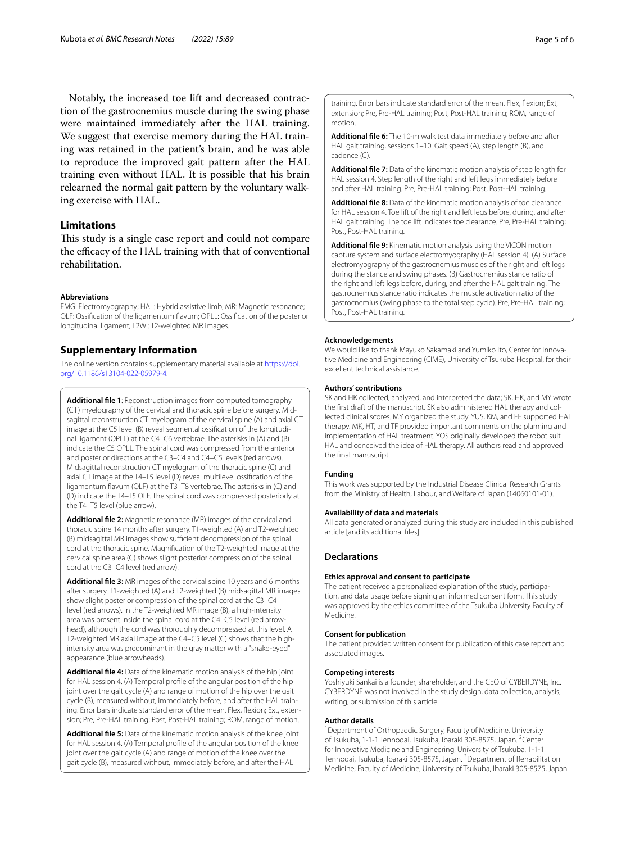Notably, the increased toe lift and decreased contraction of the gastrocnemius muscle during the swing phase were maintained immediately after the HAL training. We suggest that exercise memory during the HAL training was retained in the patient's brain, and he was able to reproduce the improved gait pattern after the HAL training even without HAL. It is possible that his brain relearned the normal gait pattern by the voluntary walking exercise with HAL.

### **Limitations**

This study is a single case report and could not compare the efficacy of the HAL training with that of conventional rehabilitation.

#### **Abbreviations**

EMG: Electromyography; HAL: Hybrid assistive limb; MR: Magnetic resonance; OLF: Ossifcation of the ligamentum favum; OPLL: Ossifcation of the posterior longitudinal ligament; T2WI: T2-weighted MR images.

#### **Supplementary Information**

The online version contains supplementary material available at [https://doi.](https://doi.org/10.1186/s13104-022-05979-4) [org/10.1186/s13104-022-05979-4](https://doi.org/10.1186/s13104-022-05979-4).

<span id="page-4-0"></span>**Additional fle 1**: Reconstruction images from computed tomography (CT) myelography of the cervical and thoracic spine before surgery. Midsagittal reconstruction CT myelogram of the cervical spine (A) and axial CT image at the C5 level (B) reveal segmental ossifcation of the longitudinal ligament (OPLL) at the C4–C6 vertebrae. The asterisks in (A) and (B) indicate the C5 OPLL. The spinal cord was compressed from the anterior and posterior directions at the C3–C4 and C4–C5 levels (red arrows). Midsagittal reconstruction CT myelogram of the thoracic spine (C) and axial CT image at the T4–T5 level (D) reveal multilevel ossifcation of the ligamentum favum (OLF) at the T3–T8 vertebrae. The asterisks in (C) and (D) indicate the T4–T5 OLF. The spinal cord was compressed posteriorly at the T4–T5 level (blue arrow).

<span id="page-4-1"></span>**Additional fle 2:** Magnetic resonance (MR) images of the cervical and thoracic spine 14 months after surgery. T1-weighted (A) and T2-weighted (B) midsagittal MR images show sufficient decompression of the spinal cord at the thoracic spine. Magnifcation of the T2-weighted image at the cervical spine area (C) shows slight posterior compression of the spinal cord at the C3–C4 level (red arrow).

<span id="page-4-2"></span>**Additional fle 3:** MR images of the cervical spine 10 years and 6 months after surgery. T1-weighted (A) and T2-weighted (B) midsagittal MR images show slight posterior compression of the spinal cord at the C3–C4 level (red arrows). In the T2-weighted MR image (B), a high-intensity area was present inside the spinal cord at the C4–C5 level (red arrowhead), although the cord was thoroughly decompressed at this level. A T2-weighted MR axial image at the C4–C5 level (C) shows that the highintensity area was predominant in the gray matter with a "snake-eyed" appearance (blue arrowheads).

<span id="page-4-3"></span>**Additional fle 4:** Data of the kinematic motion analysis of the hip joint for HAL session 4. (A) Temporal profle of the angular position of the hip joint over the gait cycle (A) and range of motion of the hip over the gait cycle (B), measured without, immediately before, and after the HAL training. Error bars indicate standard error of the mean. Flex, flexion; Ext, extension; Pre, Pre-HAL training; Post, Post-HAL training; ROM, range of motion.

<span id="page-4-4"></span>**Additional fle 5:** Data of the kinematic motion analysis of the knee joint for HAL session 4. (A) Temporal profle of the angular position of the knee joint over the gait cycle (A) and range of motion of the knee over the gait cycle (B), measured without, immediately before, and after the HAL

training. Error bars indicate standard error of the mean. Flex, fexion; Ext, extension; Pre, Pre-HAL training; Post, Post-HAL training; ROM, range of motion.

<span id="page-4-5"></span>**Additional fle 6:** The 10-m walk test data immediately before and after HAL gait training, sessions 1–10. Gait speed (A), step length (B), and cadence (C).

<span id="page-4-6"></span>**Additional fle 7:** Data of the kinematic motion analysis of step length for HAL session 4. Step length of the right and left legs immediately before and after HAL training. Pre, Pre-HAL training; Post, Post-HAL training.

<span id="page-4-7"></span>**Additional fle 8:** Data of the kinematic motion analysis of toe clearance for HAL session 4. Toe lift of the right and left legs before, during, and after HAL gait training. The toe lift indicates toe clearance. Pre, Pre-HAL training; Post, Post-HAL training.

<span id="page-4-8"></span>**Additional fle 9:** Kinematic motion analysis using the VICON motion capture system and surface electromyography (HAL session 4). (A) Surface electromyography of the gastrocnemius muscles of the right and left legs during the stance and swing phases. (B) Gastrocnemius stance ratio of the right and left legs before, during, and after the HAL gait training. The gastrocnemius stance ratio indicates the muscle activation ratio of the gastrocnemius (swing phase to the total step cycle). Pre, Pre-HAL training; Post, Post-HAL training.

#### **Acknowledgements**

We would like to thank Mayuko Sakamaki and Yumiko Ito, Center for Innovative Medicine and Engineering (CIME), University of Tsukuba Hospital, for their excellent technical assistance.

#### **Authors' contributions**

SK and HK collected, analyzed, and interpreted the data; SK, HK, and MY wrote the frst draft of the manuscript. SK also administered HAL therapy and collected clinical scores. MY organized the study. YUS, KM, and FE supported HAL therapy. MK, HT, and TF provided important comments on the planning and implementation of HAL treatment. YOS originally developed the robot suit HAL and conceived the idea of HAL therapy. All authors read and approved the fnal manuscript.

#### **Funding**

This work was supported by the Industrial Disease Clinical Research Grants from the Ministry of Health, Labour, and Welfare of Japan (14060101-01).

#### **Availability of data and materials**

All data generated or analyzed during this study are included in this published article [and its additional fles].

#### **Declarations**

#### **Ethics approval and consent to participate**

The patient received a personalized explanation of the study, participation, and data usage before signing an informed consent form. This study was approved by the ethics committee of the Tsukuba University Faculty of Medicine.

#### **Consent for publication**

The patient provided written consent for publication of this case report and associated images.

#### **Competing interests**

Yoshiyuki Sankai is a founder, shareholder, and the CEO of CYBERDYNE, Inc. CYBERDYNE was not involved in the study design, data collection, analysis, writing, or submission of this article.

#### **Author details**

<sup>1</sup> Department of Orthopaedic Surgery, Faculty of Medicine, University of Tsukuba, 1-1-1 Tennodai, Tsukuba, Ibaraki 305-8575, Japan. <sup>2</sup>Center for Innovative Medicine and Engineering, University of Tsukuba, 1-1-1 Tennodai, Tsukuba, Ibaraki 305-8575, Japan. <sup>3</sup> Department of Rehabilitation Medicine, Faculty of Medicine, University of Tsukuba, Ibaraki 305-8575, Japan.